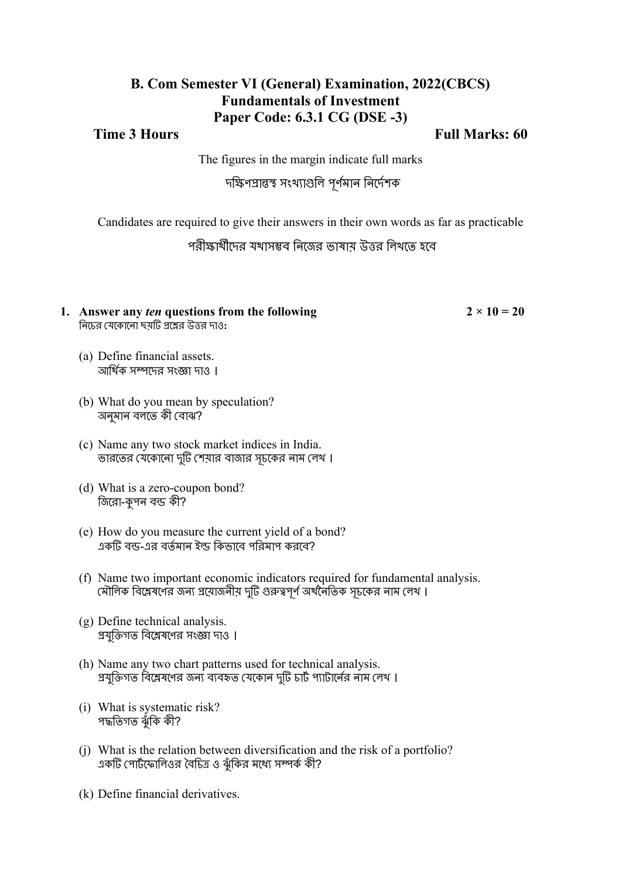## **B. Com Semester VI (General) Examination, 2022(CBCS) Fundamentals of Investment Paper Code: 6.3.1 CG (DSE -3)**

**Time 3 Hours Full Marks: 60**

The figures in the margin indicate full marks

দক্ষিণপ্রান্তস্থ সংখ্যাগুলি পূর্ণমান নির্দেশক

Candidates are required to give their answers in their own words as far as practicable

পরীক্ষার্থীদের যথাসম্ভব নিজের ভাষায় উত্তর লিখতে হবে

#### **1.** Answer any *ten* questions from the following  $2 \times 10 = 20$ নি চে র যে ক োন ো ছয়টি প্রশ্নে র উত্তর দাও**:**

- (a) Define financial assets. আর্থিক সম্পদের সংজ্ঞা দাও ।
- (b) What do you mean by speculation? অনুমান বলতে কী বোঝ?
- (c) Name any two stock market indices in India. ভারতের যেকোনো দুটি শেয়ার বাজার সূচকের নাম লেথ।
- (d) What is a zero-coupon bond? জিরো-কুপন বন্ড কী?
- (e) How do you measure the current yield of a bond? একটি বন্ড-এর বর্তমান ইল্ড কি ভাবে পরি মাপ করবে ?
- (f) Name two important economic indicators required for fundamental analysis. মালিক বিশ্লেষণের জন্য প্রয়োজনীয় দুটি গুরুত্বপূর্ণ অর্থনৈতিক সূচকের নাম লেথ ।
- (g) Define technical analysis. প্রযুক্তিগত বিশ্লেষণের সংজ্ঞা দাও ।
- (h) Name any two chart patterns used for technical analysis. প্রযুক্তিগত বিশ্লেষণের জন্য ব্যবহৃত যেকোন দুটি চার্ট প্যাটার্নের নাম লেথ ।
- (i) What is systematic risk? পদ্ধতি গত ঝুঁকি কী?
- (j) What is the relation between diversification and the risk of a portfolio? একটি পোর্টফোলিওর বৈচিত্র ও ঝুঁকির মধ্যে সম্পর্ক কী?
- (k) Define financial derivatives.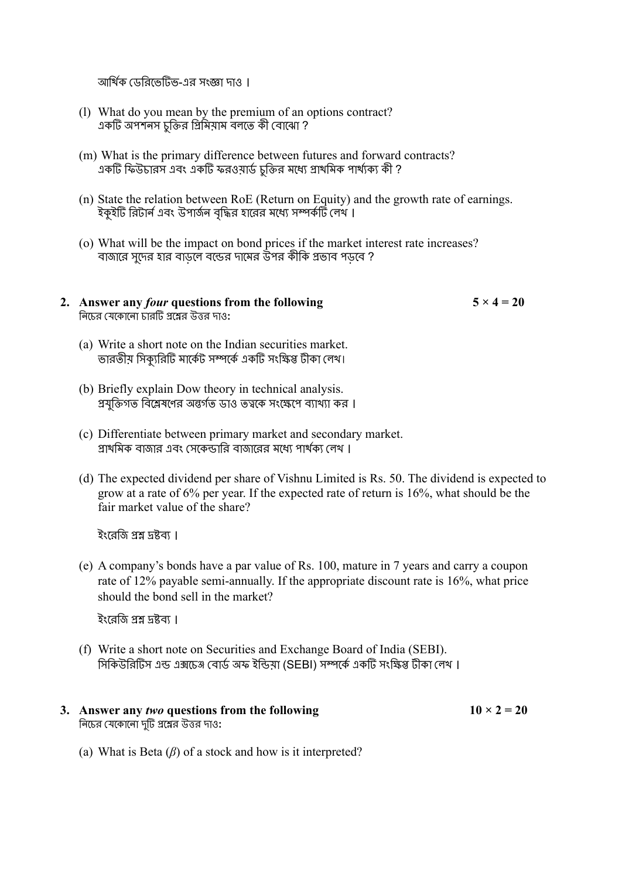আর্থিক ডেরিভেটিভ-এর সংজ্ঞা দাও ।

- (l) What do you mean by the premium of an options contract? একটি অপশনস চুক্তির প্রিমিয়াম বলতে কী বোঝো ?
- (m) What is the primary difference between futures and forward contracts? একটি ফিউচারস এবং একটি ফরওয়ার্ড চক্তির মধ্যে প্রাথমিক পার্থ্যক্য কী ?
- (n) State the relation between RoE (Return on Equity) and the growth rate of earnings. ইকুইটি রিটার্ন এবং উপার্জন বৃদ্ধির হারের মধ্যে সম্পর্কটি লেখ ।
- (o) What will be the impact on bond prices if the market interest rate increases? বাজারে সুদের হার বাড়লে বন্ডের দামের উপর কীকি প্রভাব পড়বে ?
- **2.** Answer any *four* questions from the following  $5 \times 4 = 20$ নি চে র যে ক োন ো চারটি প্রশ্নে র উত্তর দাও**:**
	- (a) Write a short note on the Indian securities market. ভারতীয় সিক্যুরিটি মার্কেট সম্পর্কে একটি সংক্ষিপ্ত টীকা লেখ।
	- (b) Briefly explain Dow theory in technical analysis. প্রযুক্তিগত বিশ্লেষণের অন্তর্গত ডাও তত্বকে সংক্ষেপে ব্যাখ্যা কর ।
	- (c) Differentiate between primary market and secondary market. প্রাথমিক বাজার এবং সেকেন্ডারি বাজারের মধ্যে পার্থক্য লেখ ।
	- (d) The expected dividend per share of Vishnu Limited is Rs. 50. The dividend is expected to grow at a rate of 6% per year. If the expected rate of return is 16%, what should be the fair market value of the share?

ইংরেজি প্রশ্ন দ্রষ্টব্য।

(e) A company's bonds have a par value of Rs. 100, mature in 7 years and carry a coupon rate of 12% payable semi-annually. If the appropriate discount rate is 16%, what price should the bond sell in the market?

ইংরেজি প্রশ্ন দ্রষ্টব্য ।

(f) Write a short note on Securities and Exchange Board of India (SEBI). সিকিউরিটিস এন্ড এক্সচেঞ্জ বোর্ড অফ ইন্ডিয়া (SEBI) সম্পর্কে একটি সংক্ষিপ্ত টীকা লেথ।

#### **3.** Answer any *two* questions from the following  $10 \times 2 = 20$ নি চে র যে ক োন ো দটিু প্রশ্নে র উত্তর দাও**:**

(a) What is Beta  $(\beta)$  of a stock and how is it interpreted?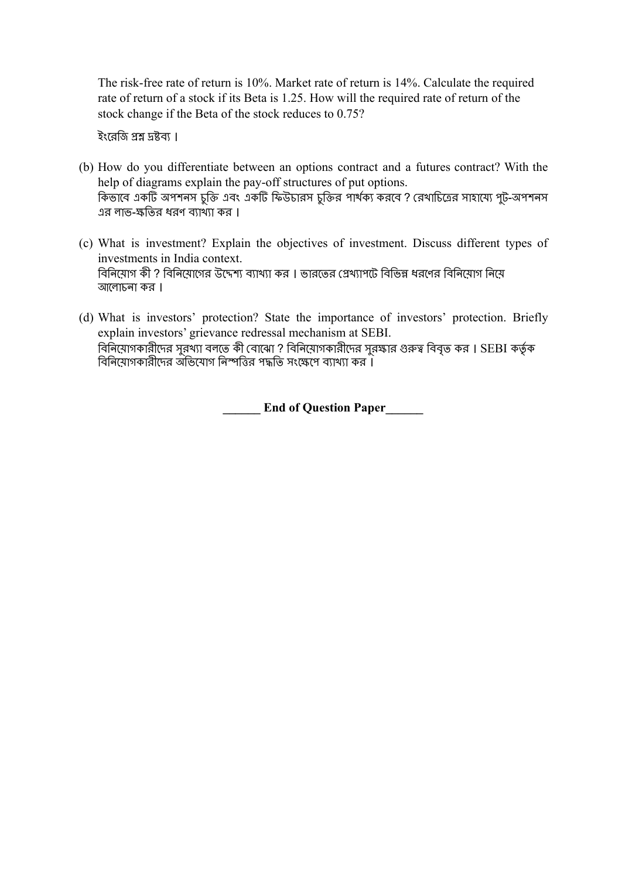The risk-free rate of return is 10%. Market rate of return is 14%. Calculate the required rate of return of a stock if its Beta is 1.25. How will the required rate of return of the stock change if the Beta of the stock reduces to 0.75?

ইংরেজি প্রশ্ন দ্রষ্টব্য ।

- (b) How do you differentiate between an options contract and a futures contract? With the help of diagrams explain the pay-off structures of put options. কিভাবে একটি অপশনস চুক্তি এবং একটি ফিউচারস চুক্তির পার্থক্য করবে ? রেখাচিত্রের সাহায্যে পুট-অপশনস এর লাভ-ক্ষতি র ধরণ ব্যাখ্যা কর ।
- (c) What is investment? Explain the objectives of investment. Discuss different types of investments in India context. বিনিয়োগ কী ? বিনিয়োগের উদ্দেশ্য ব্যাখ্যা কর । ভারতের প্রেখ্যাপটে বিভিন্ন ধরণের বিনিয়োগ নিয়ে আলোচনা কর।
- (d) What is investors' protection? State the importance of investors' protection. Briefly explain investors' grievance redressal mechanism at SEBI. বিনিয়োগকারীদের সুরখ্যা বলতে কী বোঝো ? বিনিয়োগকারীদের সুরক্ষার গুরুত্ব বিবৃত কর । SEBI কর্তৃক বিনিয়োগকারীদের অভিযোগ নিস্পত্তির পদ্ধতি সংক্ষেপে ব্যাখ্যা কর ।

**End of Question Paper**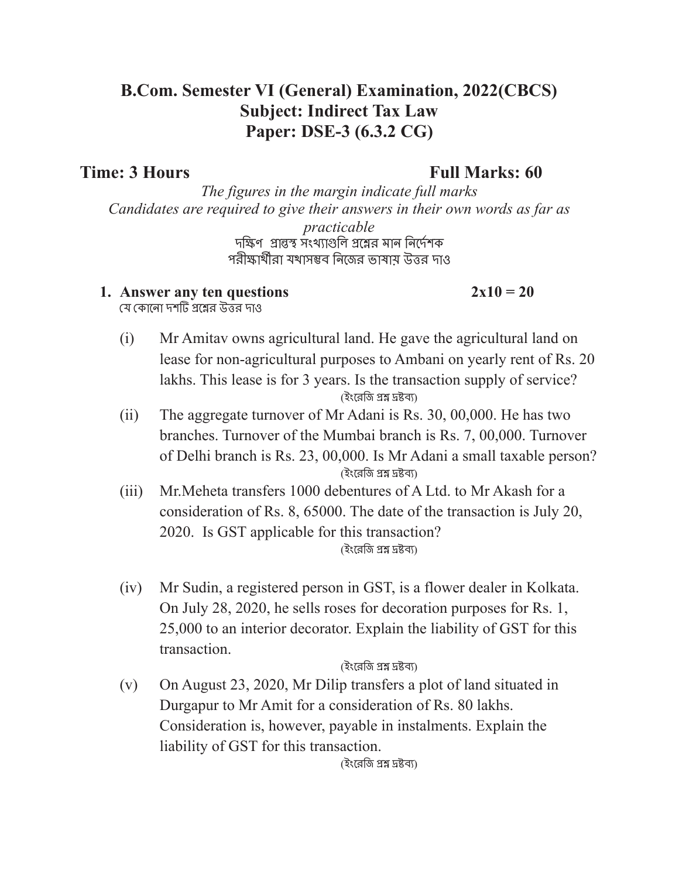# **B.Com. Semester VI (General) Examination, 2022(CBCS) Subject: Indirect Tax Law Paper: DSE-3 (6.3.2 CG)**

# **Time: 3 Hours Full Marks: 60**

*The figures in the margin indicate full marks Candidates are required to give their answers in their own words as far as practicable* দক্ষিণপ্রান্তস্থ সংখ্যাগুলি প্রশ্নের মান নির্দেশক পরীক্ষার্থীরা যথাসম্ভব নিজের ভাষায় উত্তর দাও

## **1.** Answer any ten questions  $2x10 = 20$

যে কোনো দশটি প্রশ্নের উত্তর দাও

- (i) Mr Amitav owns agricultural land. He gave the agricultural land on lease for non-agricultural purposes to Ambani on yearly rent of Rs. 20 lakhs. This lease is for 3 years. Is the transaction supply of service? (ইংরে জি প্রশ্ন দ্রষ্টব্য)
- (ii) The aggregate turnover of Mr Adani is Rs. 30, 00,000. He has two branches. Turnover of the Mumbai branch is Rs. 7, 00,000. Turnover of Delhi branch is Rs. 23, 00,000. Is Mr Adani a small taxable person? (ইংরে জি প্রশ্ন দ্রষ্টব্য)
- (iii) Mr.Meheta transfers 1000 debentures of A Ltd. to Mr Akash for a consideration of Rs. 8, 65000. The date of the transaction is July 20, 2020. Is GST applicable for this transaction? (ইংরে জি প্রশ্ন দ্রষ্টব্য)
- (iv) Mr Sudin, a registered person in GST, is a flower dealer in Kolkata. On July 28, 2020, he sells roses for decoration purposes for Rs. 1, 25,000 to an interior decorator. Explain the liability of GST for this transaction.

### (ইংরে জি প্রশ্ন দ্রষ্টব্য)

(v) On August 23, 2020, Mr Dilip transfers a plot of land situated in Durgapur to Mr Amit for a consideration of Rs. 80 lakhs. Consideration is, however, payable in instalments. Explain the liability of GST for this transaction.

(ইংরে জি প্রশ্ন দ্রষ্টব্য)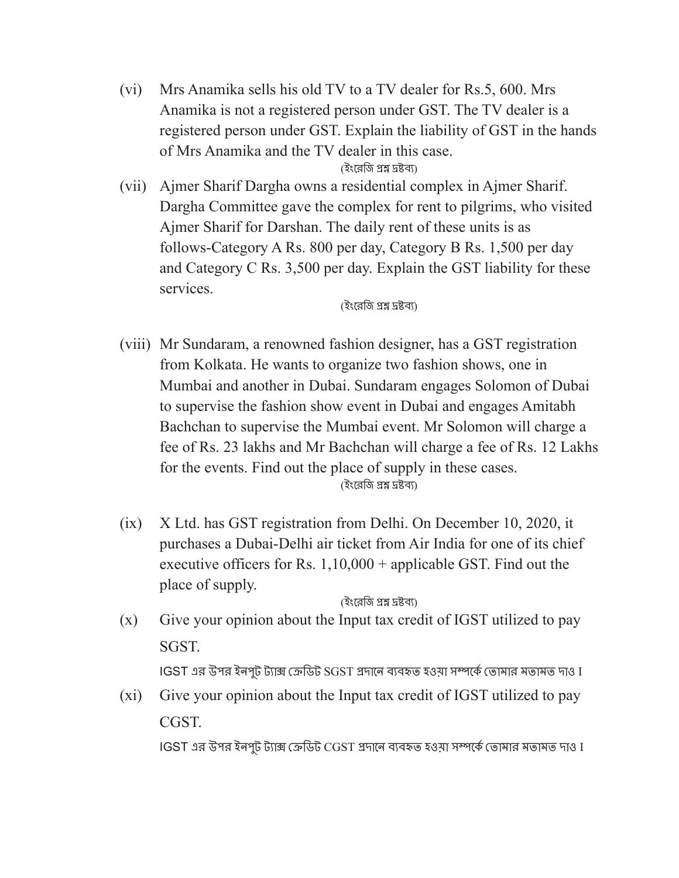(vi) Mrs Anamika sells his old TV to a TV dealer for Rs.5, 600. Mrs Anamika is not a registered person under GST. The TV dealer is a registered person under GST. Explain the liability of GST in the hands of Mrs Anamika and the TV dealer in this case.

### (ইংরেজি প্রশ্ন দ্রষ্টব্য)

(vii) Ajmer Sharif Dargha owns a residential complex in Ajmer Sharif. Dargha Committee gave the complex for rent to pilgrims, who visited Ajmer Sharif for Darshan. The daily rent of these units is as follows-Category A Rs. 800 per day, Category B Rs. 1,500 per day and Category C Rs. 3,500 per day. Explain the GST liability for these services.

(ইংরে জি প্রশ্ন দ্রষ্টব্য)

- (viii) Mr Sundaram, a renowned fashion designer, has a GST registration from Kolkata. He wants to organize two fashion shows, one in Mumbai and another in Dubai. Sundaram engages Solomon of Dubai to supervise the fashion show event in Dubai and engages Amitabh Bachchan to supervise the Mumbai event. Mr Solomon will charge a fee of Rs. 23 lakhs and Mr Bachchan will charge a fee of Rs. 12 Lakhs for the events. Find out the place of supply in these cases. (ইংরে জি প্রশ্ন দ্রষ্টব্য)
- (ix) X Ltd. has GST registration from Delhi. On December 10, 2020, it purchases a Dubai-Delhi air ticket from Air India for one of its chief executive officers for Rs. 1,10,000 + applicable GST. Find out the place of supply.

(ইংরে জি প্রশ্ন দ্রষ্টব্য)

(x) Give your opinion about the Input tax credit of IGST utilized to pay SGST.

IGST এর উপর ইনপুট ট্যাক্স ক্রেডিট SGST প্রদানে ব্যবহৃত হওয়া সম্পর্কে তোমার মতামত দাও I

(xi) Give your opinion about the Input tax credit of IGST utilized to pay CGST.

IGST এর উপর ইনপুট ট্যাক্স ক্রেডিট CGST প্রদানে ব্যবহৃত হওয়া সম্পর্কে তোমার মতামত দাও I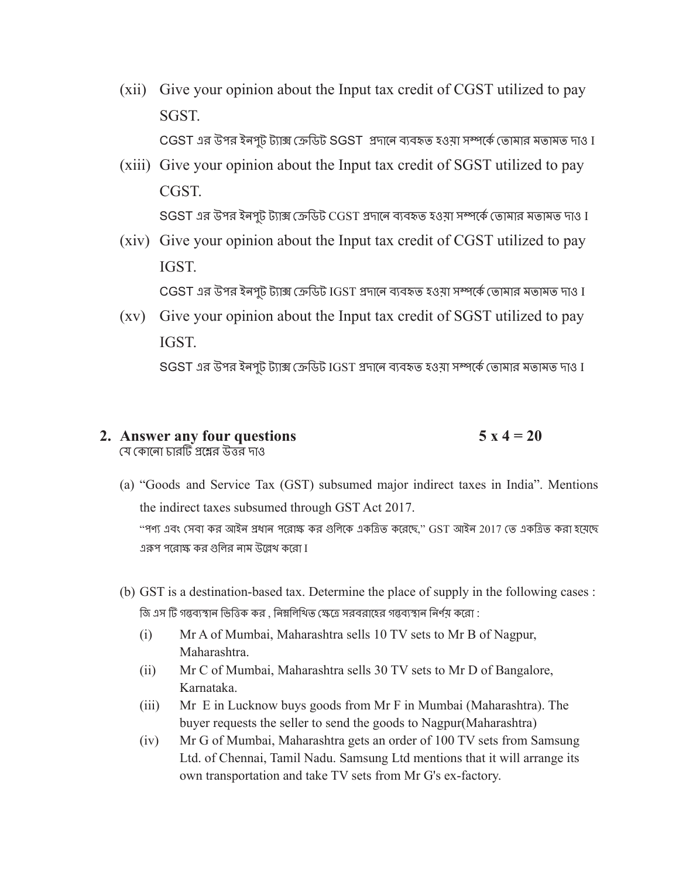- (xii) Give your opinion about the Input tax credit of CGST utilized to pay SGST. CGST এর উপর ইনপুট ট্যাক্স ক্রেডিট SGST প্রদানে ব্যবহৃত হওয়া সম্পর্কে তোমার মতামত দাও I
- (xiii) Give your opinion about the Input tax credit of SGST utilized to pay **CGST**  $\operatorname{SGST}$  এর উপর ইনপ্ট ট্যাক্স ক্রেডিট  $\operatorname{CGST}$  প্রদানে ব্যবহৃত হওয়া সম্পর্কে তোমার মতামত দাও I
- (xiv) Give your opinion about the Input tax credit of CGST utilized to pay IGST.

CGST এর উপর ইনপুট ট্যাক্স ক্রেডিট IGST প্রদানে ব্যবহৃত হওয়া সম্পর্কে তোমার মতামত দাও I

(xv) Give your opinion about the Input tax credit of SGST utilized to pay IGST.

 $S$ GST এর উপর ইনপুট ট্যাক্স ক্রেডিট IGST প্রদানে ব্যবহৃত হওয়া সম্পর্কে তোমার মতামত দাও I

#### **2. Answer any four questions 5**  $x$  **4**  $=$  **20** যে কোনো চারটি প্রশ্নের উত্তর দাও

(a) "Goods and Service Tax (GST) subsumed major indirect taxes in India". Mentions the indirect taxes subsumed through GST Act 2017. "পণ্য এবং সেবা কর আইন প্রধান পরোক্ষ কর গুলিকে একত্রিত করেছে," GST আইন 2017 তে একত্রিত করা হয়েছে

এরূপ পরোক্ষ কর গুলির নাম উল্লেখ করো I

- (b) GST is a destination-based tax. Determine the place of supply in the following cases : জি এস টি গন্তব্যস্থান ভিত্তিক কর , নিম্নলিখিত ক্ষেত্রে সরবরাহের গন্তব্যস্থান নির্ণয় করো :
	- (i) Mr A of Mumbai, Maharashtra sells 10 TV sets to Mr B of Nagpur, Maharashtra.
	- (ii) Mr C of Mumbai, Maharashtra sells 30 TV sets to Mr D of Bangalore, Karnataka.
	- (iii) Mr E in Lucknow buys goods from Mr F in Mumbai (Maharashtra). The buyer requests the seller to send the goods to Nagpur(Maharashtra)
	- (iv) Mr G of Mumbai, Maharashtra gets an order of 100 TV sets from Samsung Ltd. of Chennai, Tamil Nadu. Samsung Ltd mentions that it will arrange its own transportation and take TV sets from Mr G's ex-factory.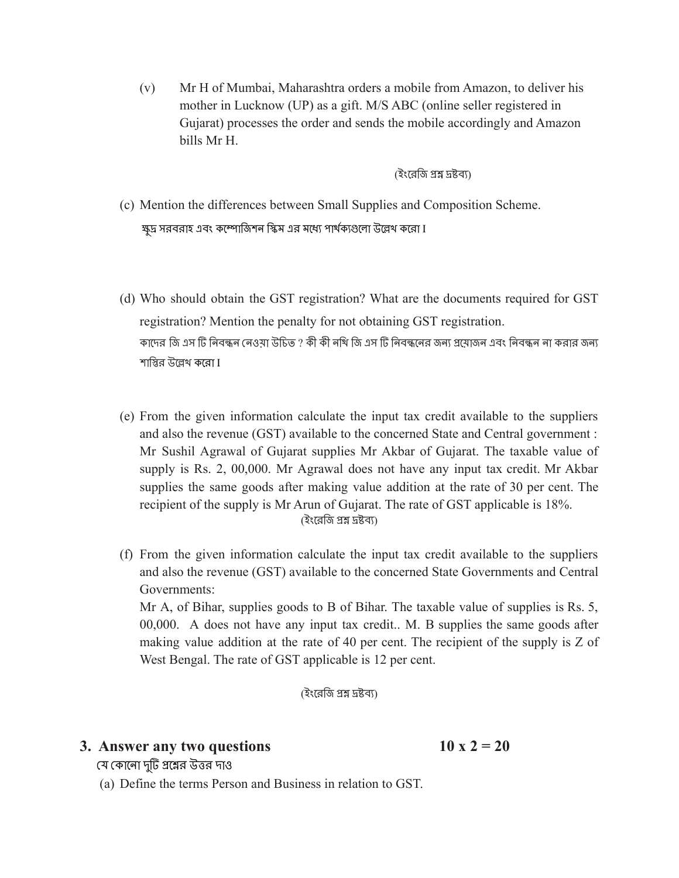(v) Mr H of Mumbai, Maharashtra orders a mobile from Amazon, to deliver his mother in Lucknow (UP) as a gift. M/S ABC (online seller registered in Gujarat) processes the order and sends the mobile accordingly and Amazon bills Mr H.

(ইংরে জি প্রশ্ন দ্রষ্টব্য)

- (c) Mention the differences between Small Supplies and Composition Scheme. ক্ষুদ্র সরবরাহ এবং কম্পোজিশন স্কিম এর মধ্যে পার্থক্যগুলো উল্লেথ করো I
- (d) Who should obtain the GST registration? What are the documents required for GST registration? Mention the penalty for not obtaining GST registration. কাদের জি এস টি নিবন্ধন নেওয়া উচিত ? কী কী নথি জি এস টি নিবন্ধনের জন্য প্রয়োজন এবং নিবন্ধন না করার জন্য শাস্তির উল্লেখ করো I
- (e) From the given information calculate the input tax credit available to the suppliers and also the revenue (GST) available to the concerned State and Central government : Mr Sushil Agrawal of Gujarat supplies Mr Akbar of Gujarat. The taxable value of supply is Rs. 2, 00,000. Mr Agrawal does not have any input tax credit. Mr Akbar supplies the same goods after making value addition at the rate of 30 per cent. The recipient of the supply is Mr Arun of Gujarat. The rate of GST applicable is 18%. (ইংরে জি প্রশ্ন দ্রষ্টব্য)
- (f) From the given information calculate the input tax credit available to the suppliers and also the revenue (GST) available to the concerned State Governments and Central Governments:

Mr A, of Bihar, supplies goods to B of Bihar. The taxable value of supplies is Rs. 5, 00,000. A does not have any input tax credit.. M. B supplies the same goods after making value addition at the rate of 40 per cent. The recipient of the supply is Z of West Bengal. The rate of GST applicable is 12 per cent.

(ইংরে জি প্রশ্ন দ্রষ্টব্য)

## **3. Answer** any two questions **10**  $x = 20$

যে কোনো দুটি প্রশ্নের উত্তর দাও

(a) Define the terms Person and Business in relation to GST.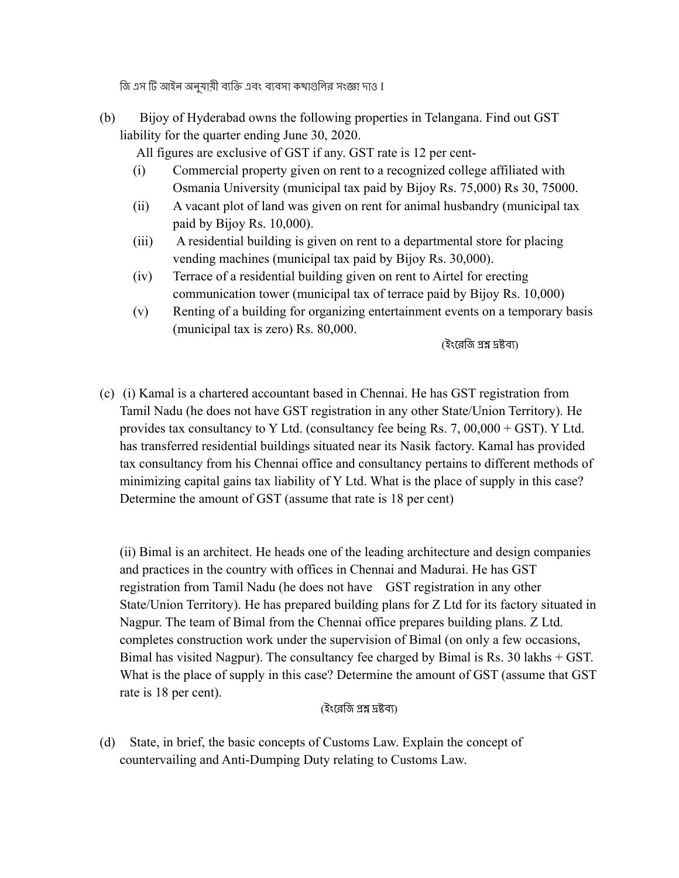জি এস টি আইন অনুযায়ী ব্যক্তি এবং ব্যবসা কথাগুলির সংজ্ঞা দাও I

(b) Bijoy of Hyderabad owns the following properties in Telangana. Find out GST liability for the quarter ending June 30, 2020.

All figures are exclusive of GST if any. GST rate is 12 per cent-

- (i) Commercial property given on rent to a recognized college affiliated with Osmania University (municipal tax paid by Bijoy Rs. 75,000) Rs 30, 75000.
- (ii) A vacant plot of land was given on rent for animal husbandry (municipal tax paid by Bijoy Rs. 10,000).
- (iii) A residential building is given on rent to a departmental store for placing vending machines (municipal tax paid by Bijoy Rs. 30,000).
- (iv) Terrace of a residential building given on rent to Airtel for erecting communication tower (municipal tax of terrace paid by Bijoy Rs. 10,000)
- (v) Renting of a building for organizing entertainment events on a temporary basis (municipal tax is zero) Rs. 80,000.

(ইংরে জি প্রশ্ন দ্রষ্টব্য)

(c) (i) Kamal is a chartered accountant based in Chennai. He has GST registration from Tamil Nadu (he does not have GST registration in any other State/Union Territory). He provides tax consultancy to Y Ltd. (consultancy fee being Rs. 7, 00,000 + GST). Y Ltd. has transferred residential buildings situated near its Nasik factory. Kamal has provided tax consultancy from his Chennai office and consultancy pertains to different methods of minimizing capital gains tax liability of Y Ltd. What is the place of supply in this case? Determine the amount of GST (assume that rate is 18 per cent)

(ii) Bimal is an architect. He heads one of the leading architecture and design companies and practices in the country with offices in Chennai and Madurai. He has GST registration from Tamil Nadu (he does not have GST registration in any other State/Union Territory). He has prepared building plans for Z Ltd for its factory situated in Nagpur. The team of Bimal from the Chennai office prepares building plans. Z Ltd. completes construction work under the supervision of Bimal (on only a few occasions, Bimal has visited Nagpur). The consultancy fee charged by Bimal is Rs. 30 lakhs + GST. What is the place of supply in this case? Determine the amount of GST (assume that GST rate is 18 per cent).

(ইংরে জি প্রশ্ন দ্রষ্টব্য)

(d) State, in brief, the basic concepts of Customs Law. Explain the concept of countervailing and Anti-Dumping Duty relating to Customs Law.